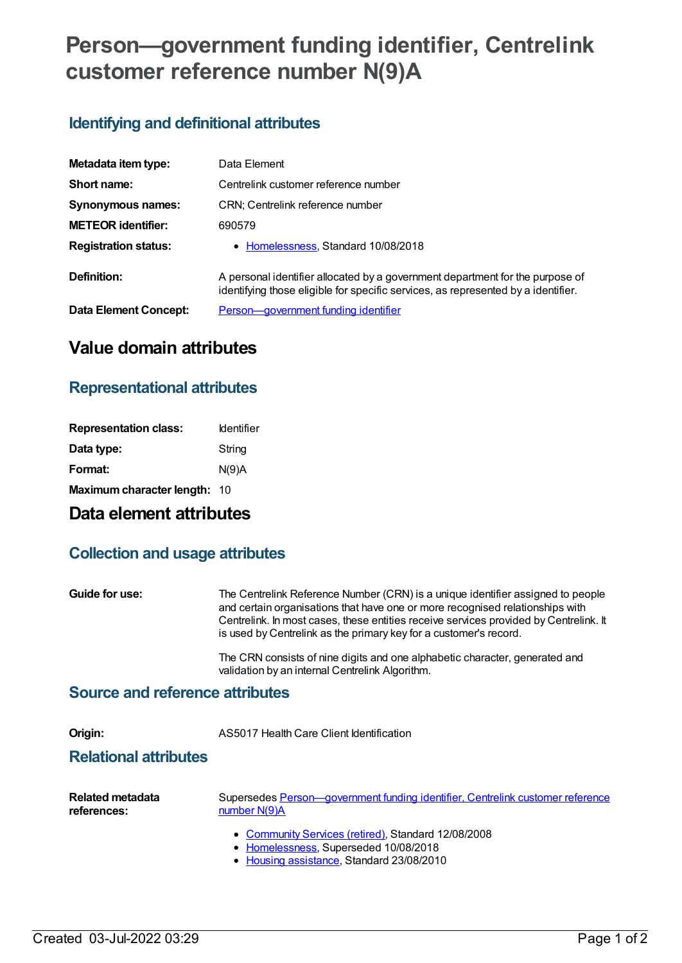# **Person—government funding identifier, Centrelink customer reference number N(9)A**

# **Identifying and definitional attributes**

| Metadata item type:         | Data Element                                                                                                                                                       |
|-----------------------------|--------------------------------------------------------------------------------------------------------------------------------------------------------------------|
| Short name:                 | Centrelink customer reference number                                                                                                                               |
| <b>Synonymous names:</b>    | CRN; Centrelink reference number                                                                                                                                   |
| <b>METEOR</b> identifier:   | 690579                                                                                                                                                             |
| <b>Registration status:</b> | • Homelessness, Standard 10/08/2018                                                                                                                                |
| Definition:                 | A personal identifier allocated by a government department for the purpose of<br>identifying those eligible for specific services, as represented by a identifier. |
| Data Element Concept:       | Person-government funding identifier                                                                                                                               |

# **Value domain attributes**

#### **Representational attributes**

| <b>Representation class:</b> | <b>Identifier</b> |
|------------------------------|-------------------|
| Data type:                   | String            |
| Format:                      | N(9)A             |
| Maximum character length: 10 |                   |

## **Data element attributes**

## **Collection and usage attributes**

**Guide for use:** The Centrelink Reference Number (CRN) is a unique identifier assigned to people and certain organisations that have one or more recognised relationships with Centrelink. In most cases, these entities receive services provided by Centrelink. It is used by Centrelink as the primary key for a customer's record.

> The CRN consists of nine digits and one alphabetic character, generated and validation by an internal Centrelink Algorithm.

#### **Source and reference attributes**

**Origin:** AS5017 Health Care Client Identification

#### **Relational attributes**

| Related metadata | Supersedes Person—government funding identifier, Centrelink customer reference |
|------------------|--------------------------------------------------------------------------------|
| references:      | number $N(9)A$                                                                 |
|                  |                                                                                |

- [Community](https://meteor.aihw.gov.au/RegistrationAuthority/1) Services (retired), Standard 12/08/2008
- [Homelessness](https://meteor.aihw.gov.au/RegistrationAuthority/14), Superseded 10/08/2018
- Housing [assistance](https://meteor.aihw.gov.au/RegistrationAuthority/11), Standard 23/08/2010